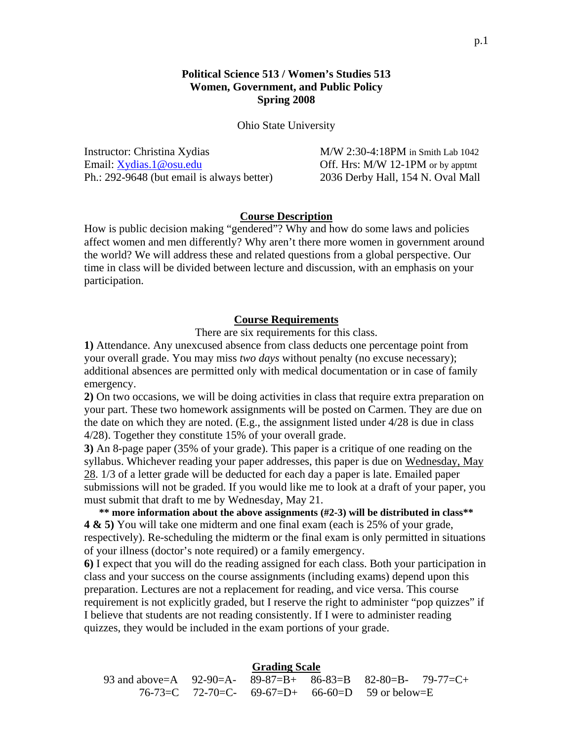## **Political Science 513 / Women's Studies 513 Women, Government, and Public Policy Spring 2008**

Ohio State University

Instructor: Christina Xydias M/W 2:30-4:18PM in Smith Lab 1042 Email: [Xydias.1@osu.edu](mailto:Xydias.1@osu.edu) Off. Hrs: M/W 12-1PM or by apptmt Ph.: 292-9648 (but email is always better) 2036 Derby Hall, 154 N. Oval Mall

### **Course Description**

How is public decision making "gendered"? Why and how do some laws and policies affect women and men differently? Why aren't there more women in government around the world? We will address these and related questions from a global perspective. Our time in class will be divided between lecture and discussion, with an emphasis on your participation.

#### **Course Requirements**

There are six requirements for this class.

**1)** Attendance. Any unexcused absence from class deducts one percentage point from your overall grade. You may miss *two days* without penalty (no excuse necessary); additional absences are permitted only with medical documentation or in case of family emergency.

**2)** On two occasions, we will be doing activities in class that require extra preparation on your part. These two homework assignments will be posted on Carmen. They are due on the date on which they are noted. (E.g., the assignment listed under 4/28 is due in class 4/28). Together they constitute 15% of your overall grade.

**3)** An 8-page paper (35% of your grade). This paper is a critique of one reading on the syllabus. Whichever reading your paper addresses, this paper is due on Wednesday, May 28. 1/3 of a letter grade will be deducted for each day a paper is late. Emailed paper submissions will not be graded. If you would like me to look at a draft of your paper, you must submit that draft to me by Wednesday, May 21.

**\*\* more information about the above assignments (#2-3) will be distributed in class\*\* 4 & 5)** You will take one midterm and one final exam (each is 25% of your grade, respectively). Re-scheduling the midterm or the final exam is only permitted in situations of your illness (doctor's note required) or a family emergency.

**6)** I expect that you will do the reading assigned for each class. Both your participation in class and your success on the course assignments (including exams) depend upon this preparation. Lectures are not a replacement for reading, and vice versa. This course requirement is not explicitly graded, but I reserve the right to administer "pop quizzes" if I believe that students are not reading consistently. If I were to administer reading quizzes, they would be included in the exam portions of your grade.

### **Grading Scale**

| 93 and above=A 92-90=A- 89-87=B+ 86-83=B 82-80=B- 79-77=C+ |  |                                                           |  |
|------------------------------------------------------------|--|-----------------------------------------------------------|--|
|                                                            |  | $76-73=C$ $72-70=C$ - $69-67=D$ + $66-60=D$ 59 or below=E |  |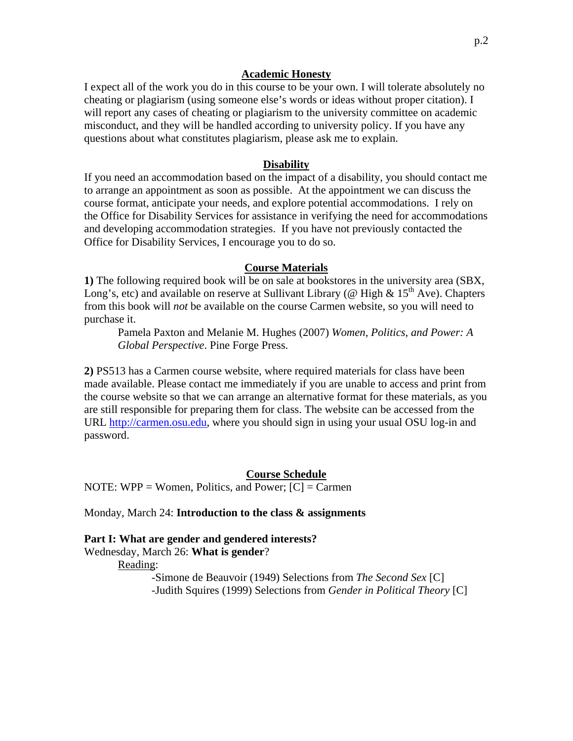#### **Academic Honesty**

I expect all of the work you do in this course to be your own. I will tolerate absolutely no cheating or plagiarism (using someone else's words or ideas without proper citation). I will report any cases of cheating or plagiarism to the university committee on academic misconduct, and they will be handled according to university policy. If you have any questions about what constitutes plagiarism, please ask me to explain.

#### **Disability**

If you need an accommodation based on the impact of a disability, you should contact me to arrange an appointment as soon as possible. At the appointment we can discuss the course format, anticipate your needs, and explore potential accommodations. I rely on the Office for Disability Services for assistance in verifying the need for accommodations and developing accommodation strategies. If you have not previously contacted the Office for Disability Services, I encourage you to do so.

#### **Course Materials**

**1)** The following required book will be on sale at bookstores in the university area (SBX, Long's, etc) and available on reserve at Sullivant Library (@ High &  $15<sup>th</sup>$  Ave). Chapters from this book will *not* be available on the course Carmen website, so you will need to purchase it.

Pamela Paxton and Melanie M. Hughes (2007) *Women, Politics, and Power: A Global Perspective*. Pine Forge Press.

**2)** PS513 has a Carmen course website, where required materials for class have been made available. Please contact me immediately if you are unable to access and print from the course website so that we can arrange an alternative format for these materials, as you are still responsible for preparing them for class. The website can be accessed from the URL [http://carmen.osu.edu,](http://carmen.osu.edu) where you should sign in using your usual OSU log-in and password.

#### **Course Schedule**

NOTE: WPP = Women, Politics, and Power;  $[C] =$  Carmen

Monday, March 24: **Introduction to the class & assignments**

# **Part I: What are gender and gendered interests?**  Wednesday, March 26: **What is gender**?

Reading:

-Simone de Beauvoir (1949) Selections from *The Second Sex* [C] -Judith Squires (1999) Selections from *Gender in Political Theory* [C]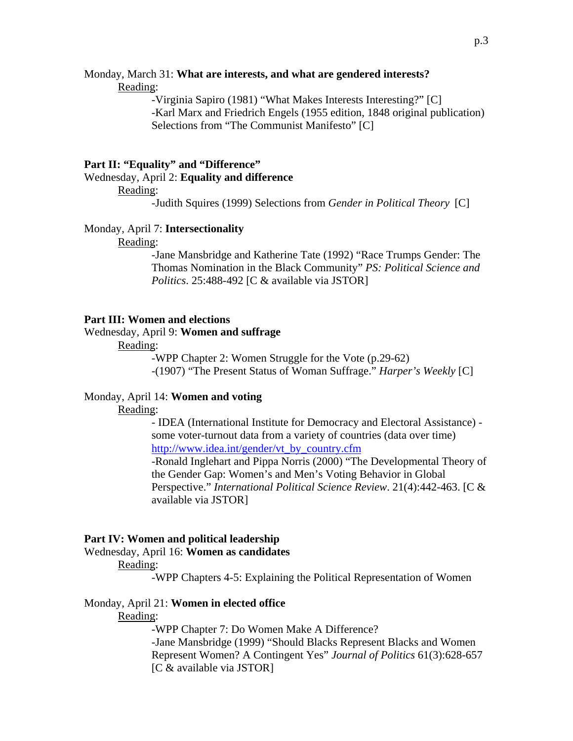#### Monday, March 31: **What are interests, and what are gendered interests?** Reading:

-Virginia Sapiro (1981) "What Makes Interests Interesting?" [C] -Karl Marx and Friedrich Engels (1955 edition, 1848 original publication) Selections from "The Communist Manifesto" [C]

#### **Part II: "Equality" and "Difference"**

Wednesday, April 2: **Equality and difference** 

Reading:

-Judith Squires (1999) Selections from *Gender in Political Theory* [C]

#### Monday, April 7: **Intersectionality**

Reading:

-Jane Mansbridge and Katherine Tate (1992) "Race Trumps Gender: The Thomas Nomination in the Black Community" *PS: Political Science and Politics*. 25:488-492 [C & available via JSTOR]

#### **Part III: Women and elections**

#### Wednesday, April 9: **Women and suffrage**

Reading:

-WPP Chapter 2: Women Struggle for the Vote (p.29-62) -(1907) "The Present Status of Woman Suffrage." *Harper's Weekly* [C]

### Monday, April 14: **Women and voting**

Reading:

- IDEA (International Institute for Democracy and Electoral Assistance) some voter-turnout data from a variety of countries (data over time) [http://www.idea.int/gender/vt\\_by\\_country.cfm](http://www.idea.int/gender/vt_by_country.cfm) -Ronald Inglehart and Pippa Norris (2000) "The Developmental Theory of the Gender Gap: Women's and Men's Voting Behavior in Global Perspective." *International Political Science Review*. 21(4):442-463. [C & available via JSTOR]

#### **Part IV: Women and political leadership**

Wednesday, April 16: **Women as candidates**

#### Reading:

-WPP Chapters 4-5: Explaining the Political Representation of Women

#### Monday, April 21: **Women in elected office**

Reading:

-WPP Chapter 7: Do Women Make A Difference? -Jane Mansbridge (1999) "Should Blacks Represent Blacks and Women Represent Women? A Contingent Yes" *Journal of Politics* 61(3):628-657 [C & available via JSTOR]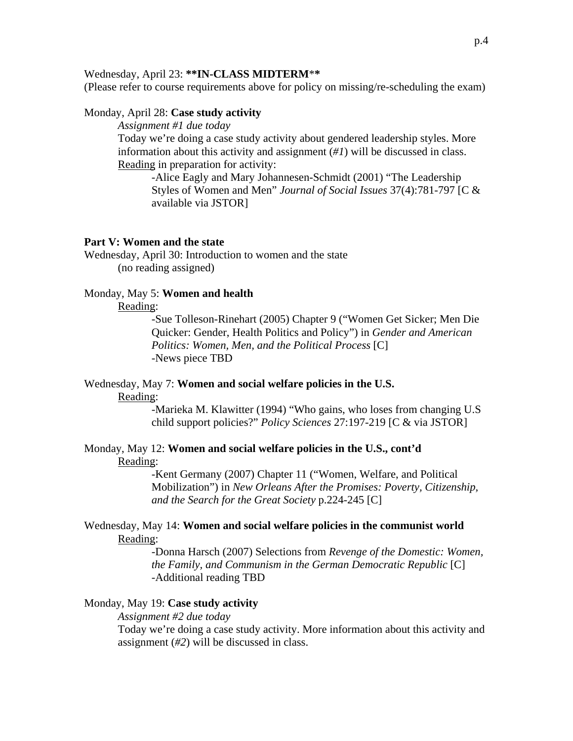### Wednesday, April 23: **\*\*IN-CLASS MIDTERM**\***\***

(Please refer to course requirements above for policy on missing/re-scheduling the exam)

#### Monday, April 28: **Case study activity**

*Assignment #1 due today*

Today we're doing a case study activity about gendered leadership styles. More information about this activity and assignment (*#1*) will be discussed in class. Reading in preparation for activity:

-Alice Eagly and Mary Johannesen-Schmidt (2001) "The Leadership Styles of Women and Men" *Journal of Social Issues* 37(4):781-797 [C & available via JSTOR]

## **Part V: Women and the state**

Wednesday, April 30: Introduction to women and the state (no reading assigned)

### Monday, May 5: **Women and health**

### Reading:

-Sue Tolleson-Rinehart (2005) Chapter 9 ("Women Get Sicker; Men Die Quicker: Gender, Health Politics and Policy") in *Gender and American Politics: Women, Men, and the Political Process* [C] -News piece TBD

# Wednesday, May 7: **Women and social welfare policies in the U.S.**

#### Reading:

-Marieka M. Klawitter (1994) "Who gains, who loses from changing U.S child support policies?" *Policy Sciences* 27:197-219 [C & via JSTOR]

### Monday, May 12: **Women and social welfare policies in the U.S., cont'd**  Reading:

-Kent Germany (2007) Chapter 11 ("Women, Welfare, and Political Mobilization") in *New Orleans After the Promises: Poverty, Citizenship, and the Search for the Great Society* p.224-245 [C]

### Wednesday, May 14: **Women and social welfare policies in the communist world** Reading:

-Donna Harsch (2007) Selections from *Revenge of the Domestic: Women, the Family, and Communism in the German Democratic Republic* [C] -Additional reading TBD

### Monday, May 19: **Case study activity**

*Assignment #2 due today* 

Today we're doing a case study activity. More information about this activity and assignment (*#2*) will be discussed in class.